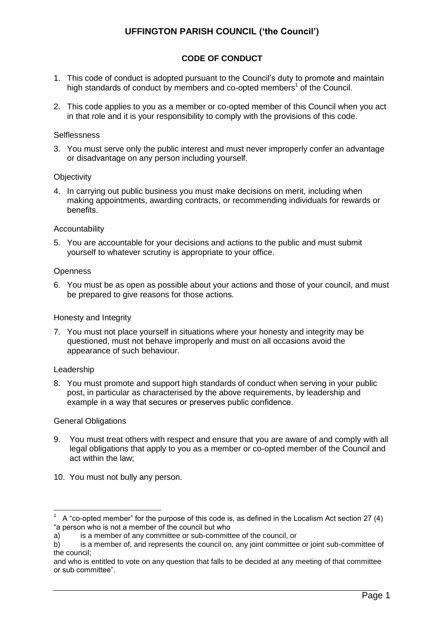# **UFFINGTON PARISH COUNCIL ('the Council')**

## **CODE OF CONDUCT**

- 1. This code of conduct is adopted pursuant to the Council's duty to promote and maintain high standards of conduct by members and co-opted members<sup>1</sup> of the Council.
- 2. This code applies to you as a member or co-opted member of this Council when you act in that role and it is your responsibility to comply with the provisions of this code.

### **Selflessness**

3. You must serve only the public interest and must never improperly confer an advantage or disadvantage on any person including yourself.

#### **Objectivity**

4. In carrying out public business you must make decisions on merit, including when making appointments, awarding contracts, or recommending individuals for rewards or benefits.

#### Accountability

5. You are accountable for your decisions and actions to the public and must submit yourself to whatever scrutiny is appropriate to your office.

#### **Openness**

6. You must be as open as possible about your actions and those of your council, and must be prepared to give reasons for those actions.

### Honesty and Integrity

7. You must not place yourself in situations where your honesty and integrity may be questioned, must not behave improperly and must on all occasions avoid the appearance of such behaviour.

#### Leadership

1

8. You must promote and support high standards of conduct when serving in your public post, in particular as characterised by the above requirements, by leadership and example in a way that secures or preserves public confidence.

#### General Obligations

- 9. You must treat others with respect and ensure that you are aware of and comply with all legal obligations that apply to you as a member or co-opted member of the Council and act within the law;
- 10. You must not bully any person.

<sup>1</sup> A "co-opted member" for the purpose of this code is, as defined in the Localism Act section 27 (4) "a person who is not a member of the council but who

a) is a member of any committee or sub-committee of the council, or

b) is a member of, and represents the council on, any joint committee or joint sub-committee of the council;

and who is entitled to vote on any question that falls to be decided at any meeting of that committee or sub committee".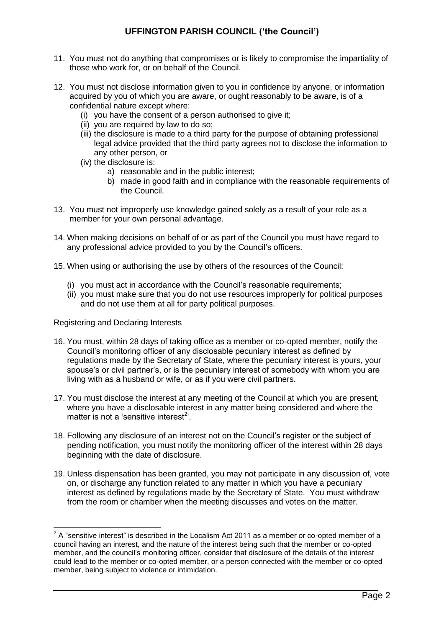# **UFFINGTON PARISH COUNCIL ('the Council')**

- 11. You must not do anything that compromises or is likely to compromise the impartiality of those who work for, or on behalf of the Council.
- 12. You must not disclose information given to you in confidence by anyone, or information acquired by you of which you are aware, or ought reasonably to be aware, is of a confidential nature except where:
	- (i) you have the consent of a person authorised to give it;
	- (ii) you are required by law to do so;
	- (iii) the disclosure is made to a third party for the purpose of obtaining professional legal advice provided that the third party agrees not to disclose the information to any other person, or
	- (iv) the disclosure is:
		- a) reasonable and in the public interest;
		- b) made in good faith and in compliance with the reasonable requirements of the Council.
- 13. You must not improperly use knowledge gained solely as a result of your role as a member for your own personal advantage.
- 14. When making decisions on behalf of or as part of the Council you must have regard to any professional advice provided to you by the Council's officers.
- 15. When using or authorising the use by others of the resources of the Council:
	- (i) you must act in accordance with the Council's reasonable requirements;
	- (ii) you must make sure that you do not use resources improperly for political purposes and do not use them at all for party political purposes.

### Registering and Declaring Interests

- 16. You must, within 28 days of taking office as a member or co-opted member, notify the Council's monitoring officer of any disclosable pecuniary interest as defined by regulations made by the Secretary of State, where the pecuniary interest is yours, your spouse's or civil partner's, or is the pecuniary interest of somebody with whom you are living with as a husband or wife, or as if you were civil partners.
- 17. You must disclose the interest at any meeting of the Council at which you are present, where you have a disclosable interest in any matter being considered and where the matter is not a 'sensitive interest<sup>2</sup>'.
- 18. Following any disclosure of an interest not on the Council's register or the subject of pending notification, you must notify the monitoring officer of the interest within 28 days beginning with the date of disclosure.
- 19. Unless dispensation has been granted, you may not participate in any discussion of, vote on, or discharge any function related to any matter in which you have a pecuniary interest as defined by regulations made by the Secretary of State. You must withdraw from the room or chamber when the meeting discusses and votes on the matter.

 2 A "sensitive interest" is described in the Localism Act 2011 as a member or co-opted member of a council having an interest, and the nature of the interest being such that the member or co-opted member, and the council's monitoring officer, consider that disclosure of the details of the interest could lead to the member or co-opted member, or a person connected with the member or co-opted member, being subject to violence or intimidation.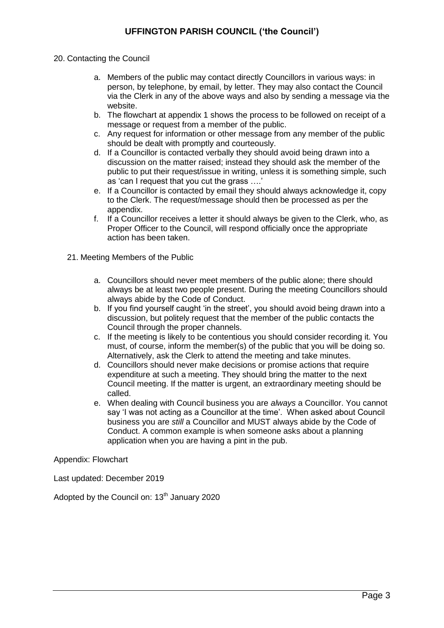## 20. Contacting the Council

- a. Members of the public may contact directly Councillors in various ways: in person, by telephone, by email, by letter. They may also contact the Council via the Clerk in any of the above ways and also by sending a message via the website.
- b. The flowchart at appendix 1 shows the process to be followed on receipt of a message or request from a member of the public.
- c. Any request for information or other message from any member of the public should be dealt with promptly and courteously.
- d. If a Councillor is contacted verbally they should avoid being drawn into a discussion on the matter raised; instead they should ask the member of the public to put their request/issue in writing, unless it is something simple, such as 'can I request that you cut the grass ….'
- e. If a Councillor is contacted by email they should always acknowledge it, copy to the Clerk. The request/message should then be processed as per the appendix.
- f. If a Councillor receives a letter it should always be given to the Clerk, who, as Proper Officer to the Council, will respond officially once the appropriate action has been taken.
- 21. Meeting Members of the Public
	- a. Councillors should never meet members of the public alone; there should always be at least two people present. During the meeting Councillors should always abide by the Code of Conduct.
	- b. If you find yourself caught 'in the street', you should avoid being drawn into a discussion, but politely request that the member of the public contacts the Council through the proper channels.
	- c. If the meeting is likely to be contentious you should consider recording it. You must, of course, inform the member(s) of the public that you will be doing so. Alternatively, ask the Clerk to attend the meeting and take minutes.
	- d. Councillors should never make decisions or promise actions that require expenditure at such a meeting. They should bring the matter to the next Council meeting. If the matter is urgent, an extraordinary meeting should be called.
	- e. When dealing with Council business you are *always* a Councillor. You cannot say 'I was not acting as a Councillor at the time'. When asked about Council business you are *still* a Councillor and MUST always abide by the Code of Conduct. A common example is when someone asks about a planning application when you are having a pint in the pub.

Appendix: Flowchart

Last updated: December 2019

Adopted by the Council on:  $13<sup>th</sup>$  January 2020